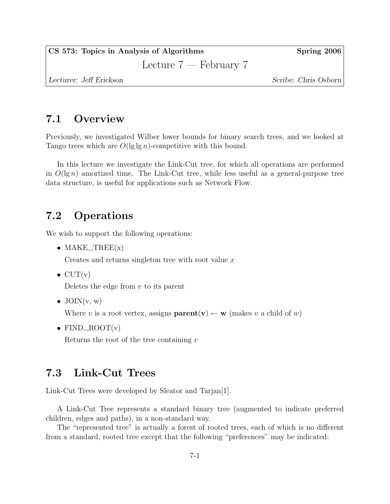CS 573: Topics in Analysis of Algorithms Spring 2006

Lecture 7 — February 7

Lecturer: Jeff Erickson Scribe: Chris Osborn

# 7.1 Overview

Previously, we investigated Wilber lower bounds for binary search trees, and we looked at Tango trees which are  $O(\lg \lg n)$ -competitive with this bound.

In this lecture we investigate the Link-Cut tree, for which all operations are performed in  $O(\lg n)$  amortized time. The Link-Cut tree, while less useful as a general-purpose tree data structure, is useful for applications such as Network Flow.

# 7.2 Operations

We wish to support the following operations:

• MAKE $_TREEx$ 

Creates and returns singleton tree with root value  $x$ 

 $\bullet$  CUT(v)

Deletes the edge from  $v$  to its parent

• JOIN $(v, w)$ 

Where v is a root vertex, assigns  $\mathbf{parent}(v) \leftarrow \mathbf{w}$  (makes v a child of w)

• FIND\_ROOT $(v)$ 

Returns the root of the tree containing  $v$ 

## 7.3 Link-Cut Trees

Link-Cut Trees were developed by Sleator and Tarjan[1].

A Link-Cut Tree represents a standard binary tree (augmented to indicate preferred children, edges and paths), in a non-standard way.

The "represented tree" is actually a forest of rooted trees, each of which is no different from a standard, rooted tree except that the following "preferences" may be indicated: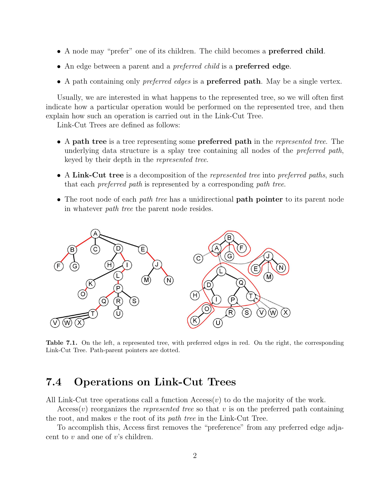- A node may "prefer" one of its children. The child becomes a preferred child.
- An edge between a parent and a *preferred child* is a **preferred edge**.
- A path containing only *preferred edges* is a **preferred path**. May be a single vertex.

Usually, we are interested in what happens to the represented tree, so we will often first indicate how a particular operation would be performed on the represented tree, and then explain how such an operation is carried out in the Link-Cut Tree.

Link-Cut Trees are defined as follows:

- A path tree is a tree representing some **preferred path** in the *represented tree*. The underlying data structure is a splay tree containing all nodes of the preferred path, keyed by their depth in the represented tree.
- A Link-Cut tree is a decomposition of the *represented tree* into *preferred paths*, such that each preferred path is represented by a corresponding path tree.
- The root node of each *path tree* has a unidirectional **path pointer** to its parent node in whatever path tree the parent node resides.



Table 7.1. On the left, a represented tree, with preferred edges in red. On the right, the corresponding Link-Cut Tree. Path-parent pointers are dotted.

## 7.4 Operations on Link-Cut Trees

All Link-Cut tree operations call a function  $\text{Access}(v)$  to do the majority of the work.

 $\text{Access}(v)$  reorganizes the *represented tree* so that v is on the preferred path containing the root, and makes  $v$  the root of its *path tree* in the Link-Cut Tree.

To accomplish this, Access first removes the "preference" from any preferred edge adjacent to  $v$  and one of  $v$ 's children.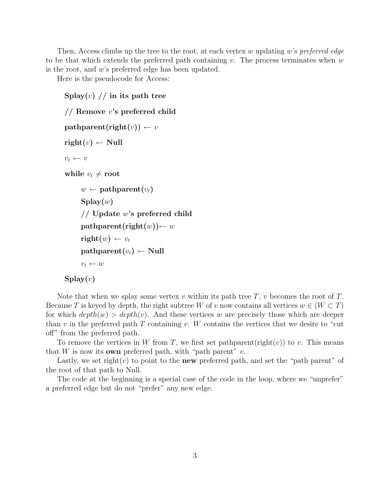Then, Access climbs up the tree to the root, at each vertex w updating w's preferred edge to be that which extends the preferred path containing v. The process terminates when  $w$ is the root, and w's preferred edge has been updated.

Here is the pseudocode for Access:

```
Splay(v) // in its path tree
// Remove v's preferred child
pathparent(right(v)) \leftarrow v\text{right}(v) \leftarrow \text{Null}v_t \leftarrow vwhile v_t \neq \text{root}w \leftarrow \textbf{pathparent}(v_t)\mathrm{Splay}(w)// Update w's preferred child
       pathparent(right(w)) \leftarrow w\text{right}(w) \leftarrow v_t\text{pathparent}(v_t) \leftarrow \text{Null}v_t \leftarrow w\text{Splay}(v)
```
Note that when we splay some vertex v within its path tree  $T$ , v becomes the root of  $T$ . Because T is keyed by depth, the right subtree W of v now contains all vertices  $w \in (W \subset T)$ for which  $depth(w) > depth(v)$ . And these vertices w are precisely those which are deeper than v in the preferred path T containing v. W contains the vertices that we desire to "cut" off" from the preferred path.

To remove the vertices in W from T, we first set pathparent(right(v)) to v. This means that W is now its **own** preferred path, with "path parent"  $v$ .

Lastly, we set right(v) to point to the **new** preferred path, and set the "path parent" of the root of that path to Null.

The code at the beginning is a special case of the code in the loop, where we "unprefer" a preferred edge but do not "prefer" any new edge.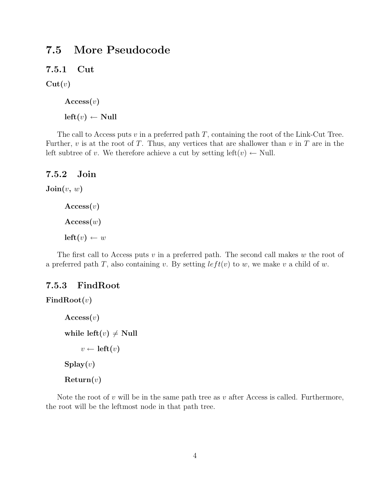## 7.5 More Pseudocode

7.5.1 Cut

 $Cut(v)$ 

 $\mathrm{Access}(v)$  $left(v) \leftarrow$  Null

The call to Access puts  $v$  in a preferred path  $T$ , containing the root of the Link-Cut Tree. Further,  $v$  is at the root of  $T$ . Thus, any vertices that are shallower than  $v$  in  $T$  are in the left subtree of v. We therefore achieve a cut by setting left $(v) \leftarrow$  Null.

#### 7.5.2 Join

```
\text{Join}(v, w)
```

```
\mathrm{Access}(v)\mathrm{Access}(w)left(v) \leftarrow w
```
The first call to Access puts  $v$  in a preferred path. The second call makes  $w$  the root of a preferred path T, also containing v. By setting  $left(v$ ) to w, we make v a child of w.

#### 7.5.3 FindRoot

```
FindRoot(v)\mathrm{Access}(v)while left(v) \neq Null
             v \leftarrow \text{left}(v)\text{Splay}(v)Return(v)
```
Note the root of  $v$  will be in the same path tree as  $v$  after Access is called. Furthermore, the root will be the leftmost node in that path tree.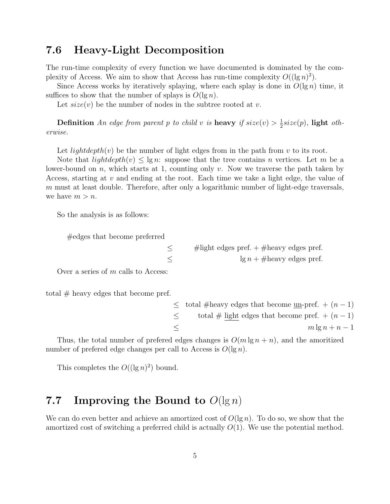### 7.6 Heavy-Light Decomposition

The run-time complexity of every function we have documented is dominated by the complexity of Access. We aim to show that Access has run-time complexity  $O((\lg n)^2)$ .

Since Access works by iteratively splaying, where each splay is done in  $O(\lg n)$  time, it suffices to show that the number of splays is  $O(\lg n)$ .

Let  $size(v)$  be the number of nodes in the subtree rooted at v.

**Definition** An edge from parent p to child v is **heavy** if  $size(v) > \frac{1}{2}$  $\frac{1}{2}$ size(p), light otherwise.

Let lightdepth(v) be the number of light edges from in the path from v to its root.

Note that  $lightdepth(v) \leq \lg n$ : suppose that the tree contains n vertices. Let m be a lower-bound on n, which starts at 1, counting only v. Now we traverse the path taken by Access, starting at  $v$  and ending at the root. Each time we take a light edge, the value of  $m$  must at least double. Therefore, after only a logarithmic number of light-edge traversals, we have  $m > n$ .

So the analysis is as follows:

#edges that become preferred

 $\leq$  #light edges pref. + #heavy edges pref.  $\leq$  lg  $n + \text{\#heavy edges prefix}$ 

Over a series of m calls to Access:

total  $#$  heavy edges that become pref.

|        | $\le$ total #heavy edges that become <u>un</u> -pref. $+(n-1)$ |
|--------|----------------------------------------------------------------|
| $\leq$ | total # light edges that become pref. $+(n-1)$                 |
| $\leq$ | $m \lg n + n - 1$                                              |

Thus, the total number of prefered edges changes is  $O(m \lg n + n)$ , and the amoritized number of prefered edge changes per call to Access is  $O(\lg n)$ .

This completes the  $O((\lg n)^2)$  bound.

## 7.7 Improving the Bound to  $O(\lg n)$

We can do even better and achieve an amortized cost of  $O(\lg n)$ . To do so, we show that the amortized cost of switching a preferred child is actually  $O(1)$ . We use the potential method.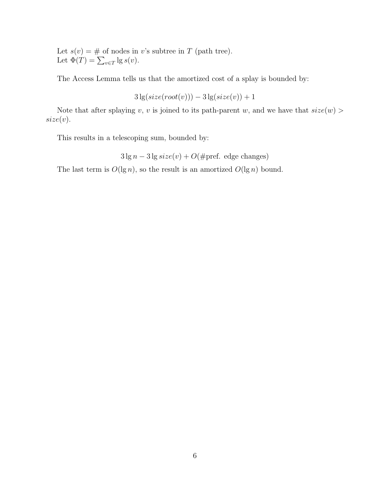Let  $s(v) = #$  of nodes in v's subtree in T (path tree). Let  $\Phi(T) = \sum_{v \in T} \lg s(v)$ .

The Access Lemma tells us that the amortized cost of a splay is bounded by:

$$
3\lg(size(root(v))) - 3\lg(size(v)) + 1
$$

Note that after splaying v, v is joined to its path-parent w, and we have that  $size(w)$  $size(v).$ 

This results in a telescoping sum, bounded by:

 $3 \lg n - 3 \lg \text{size}(v) + O(\text{#pref. edge changes})$ 

The last term is  $O(\lg n)$ , so the result is an amortized  $O(\lg n)$  bound.